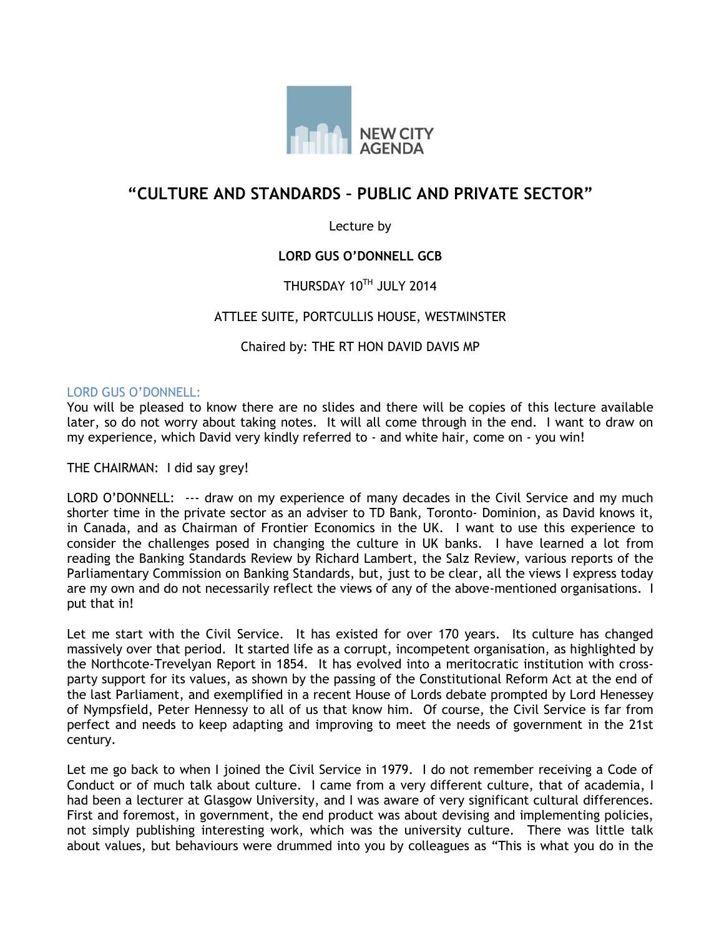

# **"CULTURE AND STANDARDS – PUBLIC AND PRIVATE SECTOR"**

### Lecture by

### **LORD GUS O'DONNELL GCB**

## THURSDAY 10TH JULY 2014

### ATTLEE SUITE, PORTCULLIS HOUSE, WESTMINSTER

#### Chaired by: THE RT HON DAVID DAVIS MP

#### LORD GUS O'DONNELL:

You will be pleased to know there are no slides and there will be copies of this lecture available later, so do not worry about taking notes. It will all come through in the end. I want to draw on my experience, which David very kindly referred to - and white hair, come on - you win!

THE CHAIRMAN: I did say grey!

LORD O'DONNELL: --- draw on my experience of many decades in the Civil Service and my much shorter time in the private sector as an adviser to TD Bank, Toronto- Dominion, as David knows it, in Canada, and as Chairman of Frontier Economics in the UK. I want to use this experience to consider the challenges posed in changing the culture in UK banks. I have learned a lot from reading the Banking Standards Review by Richard Lambert, the Salz Review, various reports of the Parliamentary Commission on Banking Standards, but, just to be clear, all the views I express today are my own and do not necessarily reflect the views of any of the above-mentioned organisations. I put that in!

Let me start with the Civil Service. It has existed for over 170 years. Its culture has changed massively over that period. It started life as a corrupt, incompetent organisation, as highlighted by the Northcote-Trevelyan Report in 1854. It has evolved into a meritocratic institution with crossparty support for its values, as shown by the passing of the Constitutional Reform Act at the end of the last Parliament, and exemplified in a recent House of Lords debate prompted by Lord Henessey of Nympsfield, Peter Hennessy to all of us that know him. Of course, the Civil Service is far from perfect and needs to keep adapting and improving to meet the needs of government in the 21st century.

Let me go back to when I joined the Civil Service in 1979. I do not remember receiving a Code of Conduct or of much talk about culture. I came from a very different culture, that of academia, I had been a lecturer at Glasgow University, and I was aware of very significant cultural differences. First and foremost, in government, the end product was about devising and implementing policies, not simply publishing interesting work, which was the university culture. There was little talk about values, but behaviours were drummed into you by colleagues as "This is what you do in the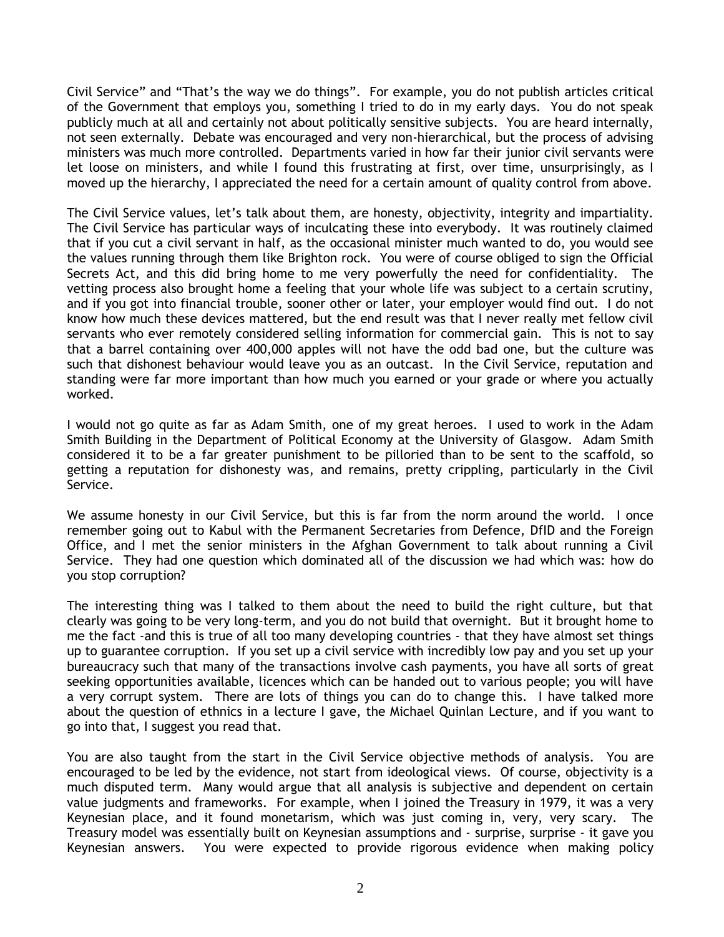Civil Service" and "That's the way we do things". For example, you do not publish articles critical of the Government that employs you, something I tried to do in my early days. You do not speak publicly much at all and certainly not about politically sensitive subjects. You are heard internally, not seen externally. Debate was encouraged and very non-hierarchical, but the process of advising ministers was much more controlled. Departments varied in how far their junior civil servants were let loose on ministers, and while I found this frustrating at first, over time, unsurprisingly, as I moved up the hierarchy, I appreciated the need for a certain amount of quality control from above.

The Civil Service values, let's talk about them, are honesty, objectivity, integrity and impartiality. The Civil Service has particular ways of inculcating these into everybody. It was routinely claimed that if you cut a civil servant in half, as the occasional minister much wanted to do, you would see the values running through them like Brighton rock. You were of course obliged to sign the Official Secrets Act, and this did bring home to me very powerfully the need for confidentiality. The vetting process also brought home a feeling that your whole life was subject to a certain scrutiny, and if you got into financial trouble, sooner other or later, your employer would find out. I do not know how much these devices mattered, but the end result was that I never really met fellow civil servants who ever remotely considered selling information for commercial gain. This is not to say that a barrel containing over 400,000 apples will not have the odd bad one, but the culture was such that dishonest behaviour would leave you as an outcast. In the Civil Service, reputation and standing were far more important than how much you earned or your grade or where you actually worked.

I would not go quite as far as Adam Smith, one of my great heroes. I used to work in the Adam Smith Building in the Department of Political Economy at the University of Glasgow. Adam Smith considered it to be a far greater punishment to be pilloried than to be sent to the scaffold, so getting a reputation for dishonesty was, and remains, pretty crippling, particularly in the Civil Service.

We assume honesty in our Civil Service, but this is far from the norm around the world. I once remember going out to Kabul with the Permanent Secretaries from Defence, DfID and the Foreign Office, and I met the senior ministers in the Afghan Government to talk about running a Civil Service. They had one question which dominated all of the discussion we had which was: how do you stop corruption?

The interesting thing was I talked to them about the need to build the right culture, but that clearly was going to be very long-term, and you do not build that overnight. But it brought home to me the fact -and this is true of all too many developing countries - that they have almost set things up to guarantee corruption. If you set up a civil service with incredibly low pay and you set up your bureaucracy such that many of the transactions involve cash payments, you have all sorts of great seeking opportunities available, licences which can be handed out to various people; you will have a very corrupt system. There are lots of things you can do to change this. I have talked more about the question of ethnics in a lecture I gave, the Michael Quinlan Lecture, and if you want to go into that, I suggest you read that.

You are also taught from the start in the Civil Service objective methods of analysis. You are encouraged to be led by the evidence, not start from ideological views. Of course, objectivity is a much disputed term. Many would argue that all analysis is subjective and dependent on certain value judgments and frameworks. For example, when I joined the Treasury in 1979, it was a very Keynesian place, and it found monetarism, which was just coming in, very, very scary. The Treasury model was essentially built on Keynesian assumptions and - surprise, surprise - it gave you Keynesian answers. You were expected to provide rigorous evidence when making policy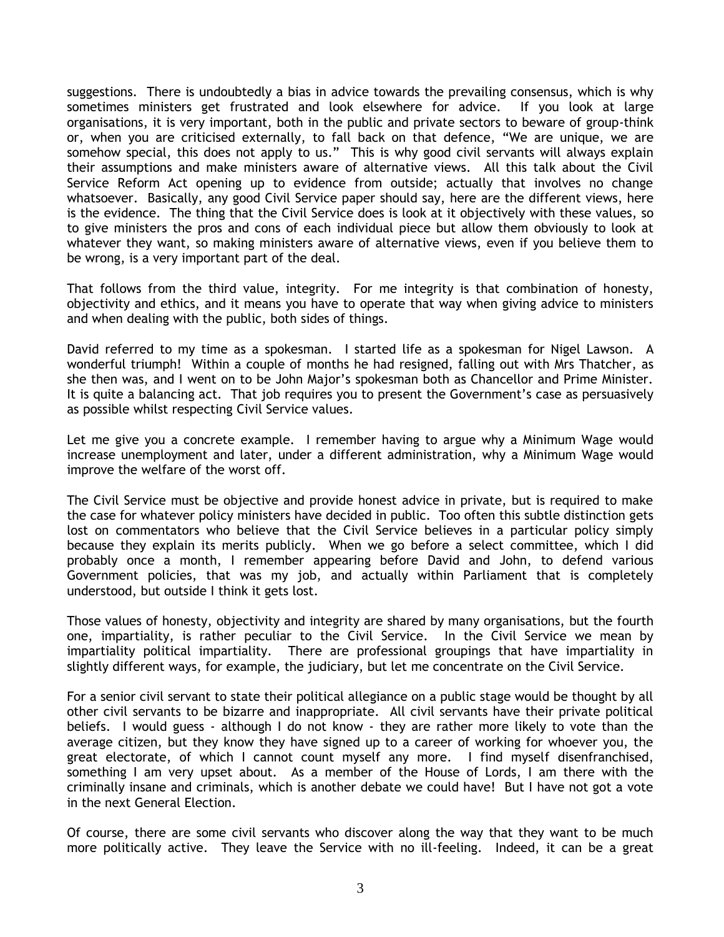suggestions. There is undoubtedly a bias in advice towards the prevailing consensus, which is why sometimes ministers get frustrated and look elsewhere for advice. If you look at large organisations, it is very important, both in the public and private sectors to beware of group-think or, when you are criticised externally, to fall back on that defence, "We are unique, we are somehow special, this does not apply to us." This is why good civil servants will always explain their assumptions and make ministers aware of alternative views. All this talk about the Civil Service Reform Act opening up to evidence from outside; actually that involves no change whatsoever. Basically, any good Civil Service paper should say, here are the different views, here is the evidence. The thing that the Civil Service does is look at it objectively with these values, so to give ministers the pros and cons of each individual piece but allow them obviously to look at whatever they want, so making ministers aware of alternative views, even if you believe them to be wrong, is a very important part of the deal.

That follows from the third value, integrity. For me integrity is that combination of honesty, objectivity and ethics, and it means you have to operate that way when giving advice to ministers and when dealing with the public, both sides of things.

David referred to my time as a spokesman. I started life as a spokesman for Nigel Lawson. A wonderful triumph! Within a couple of months he had resigned, falling out with Mrs Thatcher, as she then was, and I went on to be John Major's spokesman both as Chancellor and Prime Minister. It is quite a balancing act. That job requires you to present the Government's case as persuasively as possible whilst respecting Civil Service values.

Let me give you a concrete example. I remember having to argue why a Minimum Wage would increase unemployment and later, under a different administration, why a Minimum Wage would improve the welfare of the worst off.

The Civil Service must be objective and provide honest advice in private, but is required to make the case for whatever policy ministers have decided in public. Too often this subtle distinction gets lost on commentators who believe that the Civil Service believes in a particular policy simply because they explain its merits publicly. When we go before a select committee, which I did probably once a month, I remember appearing before David and John, to defend various Government policies, that was my job, and actually within Parliament that is completely understood, but outside I think it gets lost.

Those values of honesty, objectivity and integrity are shared by many organisations, but the fourth one, impartiality, is rather peculiar to the Civil Service. In the Civil Service we mean by impartiality political impartiality. There are professional groupings that have impartiality in slightly different ways, for example, the judiciary, but let me concentrate on the Civil Service.

For a senior civil servant to state their political allegiance on a public stage would be thought by all other civil servants to be bizarre and inappropriate. All civil servants have their private political beliefs. I would guess - although I do not know - they are rather more likely to vote than the average citizen, but they know they have signed up to a career of working for whoever you, the great electorate, of which I cannot count myself any more. I find myself disenfranchised, something I am very upset about. As a member of the House of Lords, I am there with the criminally insane and criminals, which is another debate we could have! But I have not got a vote in the next General Election.

Of course, there are some civil servants who discover along the way that they want to be much more politically active. They leave the Service with no ill-feeling. Indeed, it can be a great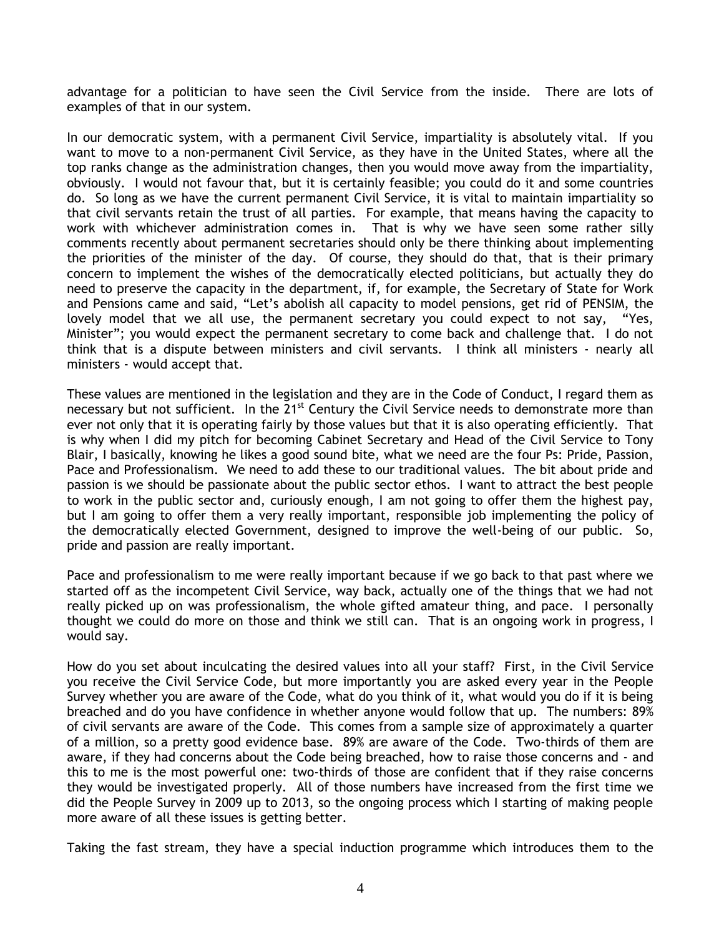advantage for a politician to have seen the Civil Service from the inside. There are lots of examples of that in our system.

In our democratic system, with a permanent Civil Service, impartiality is absolutely vital. If you want to move to a non-permanent Civil Service, as they have in the United States, where all the top ranks change as the administration changes, then you would move away from the impartiality, obviously. I would not favour that, but it is certainly feasible; you could do it and some countries do. So long as we have the current permanent Civil Service, it is vital to maintain impartiality so that civil servants retain the trust of all parties. For example, that means having the capacity to work with whichever administration comes in. That is why we have seen some rather silly comments recently about permanent secretaries should only be there thinking about implementing the priorities of the minister of the day. Of course, they should do that, that is their primary concern to implement the wishes of the democratically elected politicians, but actually they do need to preserve the capacity in the department, if, for example, the Secretary of State for Work and Pensions came and said, "Let's abolish all capacity to model pensions, get rid of PENSIM, the lovely model that we all use, the permanent secretary you could expect to not say, "Yes, Minister"; you would expect the permanent secretary to come back and challenge that. I do not think that is a dispute between ministers and civil servants. I think all ministers - nearly all ministers - would accept that.

These values are mentioned in the legislation and they are in the Code of Conduct, I regard them as necessary but not sufficient. In the 21<sup>st</sup> Century the Civil Service needs to demonstrate more than ever not only that it is operating fairly by those values but that it is also operating efficiently. That is why when I did my pitch for becoming Cabinet Secretary and Head of the Civil Service to Tony Blair, I basically, knowing he likes a good sound bite, what we need are the four Ps: Pride, Passion, Pace and Professionalism. We need to add these to our traditional values. The bit about pride and passion is we should be passionate about the public sector ethos. I want to attract the best people to work in the public sector and, curiously enough, I am not going to offer them the highest pay, but I am going to offer them a very really important, responsible job implementing the policy of the democratically elected Government, designed to improve the well-being of our public. So, pride and passion are really important.

Pace and professionalism to me were really important because if we go back to that past where we started off as the incompetent Civil Service, way back, actually one of the things that we had not really picked up on was professionalism, the whole gifted amateur thing, and pace. I personally thought we could do more on those and think we still can. That is an ongoing work in progress, I would say.

How do you set about inculcating the desired values into all your staff? First, in the Civil Service you receive the Civil Service Code, but more importantly you are asked every year in the People Survey whether you are aware of the Code, what do you think of it, what would you do if it is being breached and do you have confidence in whether anyone would follow that up. The numbers: 89% of civil servants are aware of the Code. This comes from a sample size of approximately a quarter of a million, so a pretty good evidence base. 89% are aware of the Code. Two-thirds of them are aware, if they had concerns about the Code being breached, how to raise those concerns and - and this to me is the most powerful one: two-thirds of those are confident that if they raise concerns they would be investigated properly. All of those numbers have increased from the first time we did the People Survey in 2009 up to 2013, so the ongoing process which I starting of making people more aware of all these issues is getting better.

Taking the fast stream, they have a special induction programme which introduces them to the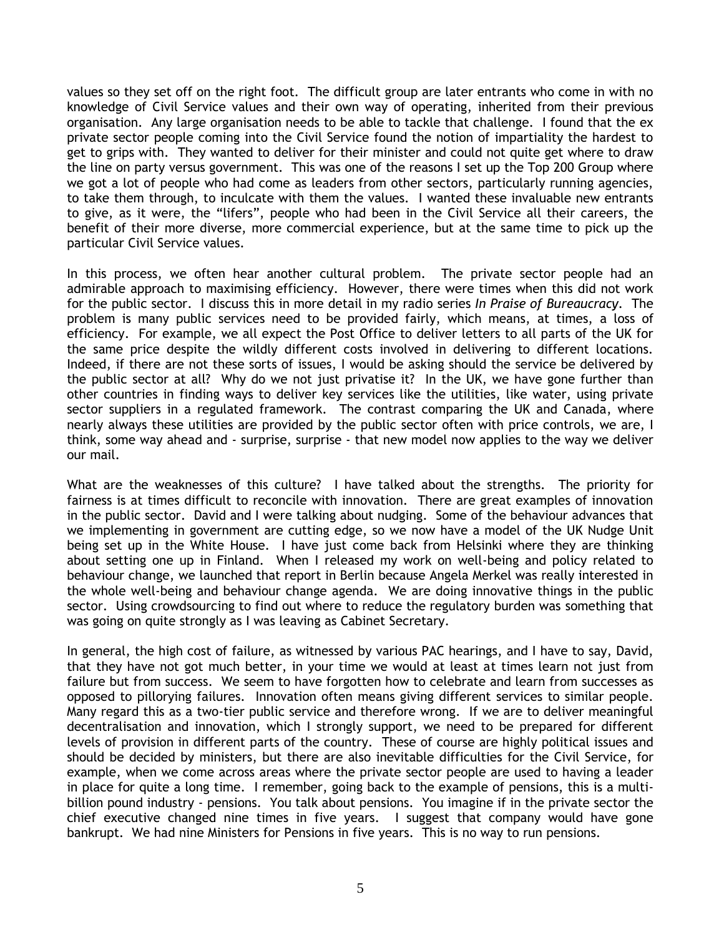values so they set off on the right foot. The difficult group are later entrants who come in with no knowledge of Civil Service values and their own way of operating, inherited from their previous organisation. Any large organisation needs to be able to tackle that challenge. I found that the ex private sector people coming into the Civil Service found the notion of impartiality the hardest to get to grips with. They wanted to deliver for their minister and could not quite get where to draw the line on party versus government. This was one of the reasons I set up the Top 200 Group where we got a lot of people who had come as leaders from other sectors, particularly running agencies, to take them through, to inculcate with them the values. I wanted these invaluable new entrants to give, as it were, the "lifers", people who had been in the Civil Service all their careers, the benefit of their more diverse, more commercial experience, but at the same time to pick up the particular Civil Service values.

In this process, we often hear another cultural problem. The private sector people had an admirable approach to maximising efficiency. However, there were times when this did not work for the public sector. I discuss this in more detail in my radio series *In Praise of Bureaucracy*. The problem is many public services need to be provided fairly, which means, at times, a loss of efficiency. For example, we all expect the Post Office to deliver letters to all parts of the UK for the same price despite the wildly different costs involved in delivering to different locations. Indeed, if there are not these sorts of issues, I would be asking should the service be delivered by the public sector at all? Why do we not just privatise it? In the UK, we have gone further than other countries in finding ways to deliver key services like the utilities, like water, using private sector suppliers in a regulated framework. The contrast comparing the UK and Canada, where nearly always these utilities are provided by the public sector often with price controls, we are, I think, some way ahead and - surprise, surprise - that new model now applies to the way we deliver our mail.

What are the weaknesses of this culture? I have talked about the strengths. The priority for fairness is at times difficult to reconcile with innovation. There are great examples of innovation in the public sector. David and I were talking about nudging. Some of the behaviour advances that we implementing in government are cutting edge, so we now have a model of the UK Nudge Unit being set up in the White House. I have just come back from Helsinki where they are thinking about setting one up in Finland. When I released my work on well-being and policy related to behaviour change, we launched that report in Berlin because Angela Merkel was really interested in the whole well-being and behaviour change agenda. We are doing innovative things in the public sector. Using crowdsourcing to find out where to reduce the regulatory burden was something that was going on quite strongly as I was leaving as Cabinet Secretary.

In general, the high cost of failure, as witnessed by various PAC hearings, and I have to say, David, that they have not got much better, in your time we would at least at times learn not just from failure but from success. We seem to have forgotten how to celebrate and learn from successes as opposed to pillorying failures. Innovation often means giving different services to similar people. Many regard this as a two-tier public service and therefore wrong. If we are to deliver meaningful decentralisation and innovation, which I strongly support, we need to be prepared for different levels of provision in different parts of the country. These of course are highly political issues and should be decided by ministers, but there are also inevitable difficulties for the Civil Service, for example, when we come across areas where the private sector people are used to having a leader in place for quite a long time. I remember, going back to the example of pensions, this is a multibillion pound industry - pensions. You talk about pensions. You imagine if in the private sector the chief executive changed nine times in five years. I suggest that company would have gone bankrupt. We had nine Ministers for Pensions in five years. This is no way to run pensions.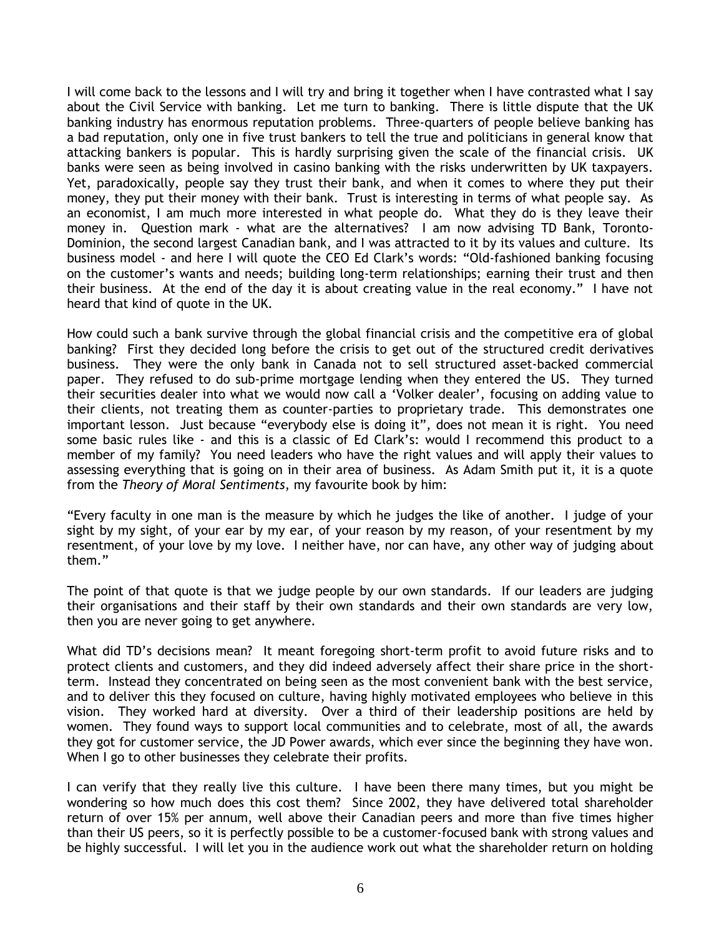I will come back to the lessons and I will try and bring it together when I have contrasted what I say about the Civil Service with banking. Let me turn to banking. There is little dispute that the UK banking industry has enormous reputation problems. Three-quarters of people believe banking has a bad reputation, only one in five trust bankers to tell the true and politicians in general know that attacking bankers is popular. This is hardly surprising given the scale of the financial crisis. UK banks were seen as being involved in casino banking with the risks underwritten by UK taxpayers. Yet, paradoxically, people say they trust their bank, and when it comes to where they put their money, they put their money with their bank. Trust is interesting in terms of what people say. As an economist, I am much more interested in what people do. What they do is they leave their money in. Question mark - what are the alternatives? I am now advising TD Bank, Toronto-Dominion, the second largest Canadian bank, and I was attracted to it by its values and culture. Its business model - and here I will quote the CEO Ed Clark's words: "Old-fashioned banking focusing on the customer's wants and needs; building long-term relationships; earning their trust and then their business. At the end of the day it is about creating value in the real economy." I have not heard that kind of quote in the UK.

How could such a bank survive through the global financial crisis and the competitive era of global banking? First they decided long before the crisis to get out of the structured credit derivatives business. They were the only bank in Canada not to sell structured asset-backed commercial paper. They refused to do sub-prime mortgage lending when they entered the US. They turned their securities dealer into what we would now call a 'Volker dealer', focusing on adding value to their clients, not treating them as counter-parties to proprietary trade. This demonstrates one important lesson. Just because "everybody else is doing it", does not mean it is right. You need some basic rules like - and this is a classic of Ed Clark's: would I recommend this product to a member of my family? You need leaders who have the right values and will apply their values to assessing everything that is going on in their area of business. As Adam Smith put it, it is a quote from the *Theory of Moral Sentiments*, my favourite book by him:

"Every faculty in one man is the measure by which he judges the like of another. I judge of your sight by my sight, of your ear by my ear, of your reason by my reason, of your resentment by my resentment, of your love by my love. I neither have, nor can have, any other way of judging about them."

The point of that quote is that we judge people by our own standards. If our leaders are judging their organisations and their staff by their own standards and their own standards are very low, then you are never going to get anywhere.

What did TD's decisions mean? It meant foregoing short-term profit to avoid future risks and to protect clients and customers, and they did indeed adversely affect their share price in the shortterm. Instead they concentrated on being seen as the most convenient bank with the best service, and to deliver this they focused on culture, having highly motivated employees who believe in this vision. They worked hard at diversity. Over a third of their leadership positions are held by women. They found ways to support local communities and to celebrate, most of all, the awards they got for customer service, the JD Power awards, which ever since the beginning they have won. When I go to other businesses they celebrate their profits.

I can verify that they really live this culture. I have been there many times, but you might be wondering so how much does this cost them? Since 2002, they have delivered total shareholder return of over 15% per annum, well above their Canadian peers and more than five times higher than their US peers, so it is perfectly possible to be a customer-focused bank with strong values and be highly successful. I will let you in the audience work out what the shareholder return on holding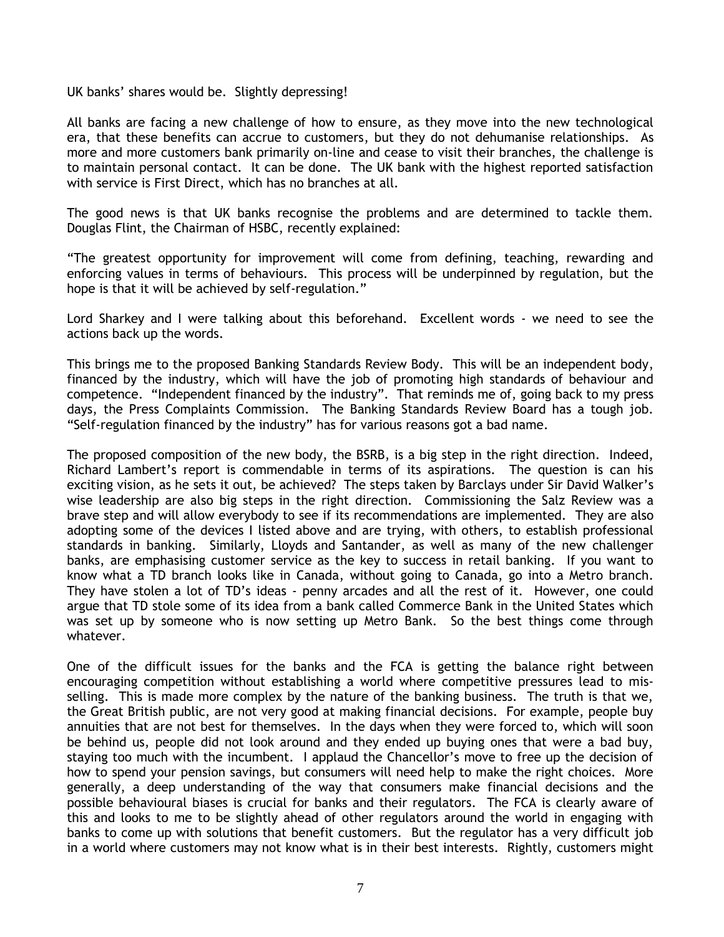UK banks' shares would be. Slightly depressing!

All banks are facing a new challenge of how to ensure, as they move into the new technological era, that these benefits can accrue to customers, but they do not dehumanise relationships. As more and more customers bank primarily on-line and cease to visit their branches, the challenge is to maintain personal contact. It can be done. The UK bank with the highest reported satisfaction with service is First Direct, which has no branches at all.

The good news is that UK banks recognise the problems and are determined to tackle them. Douglas Flint, the Chairman of HSBC, recently explained:

"The greatest opportunity for improvement will come from defining, teaching, rewarding and enforcing values in terms of behaviours. This process will be underpinned by regulation, but the hope is that it will be achieved by self-regulation."

Lord Sharkey and I were talking about this beforehand. Excellent words - we need to see the actions back up the words.

This brings me to the proposed Banking Standards Review Body. This will be an independent body, financed by the industry, which will have the job of promoting high standards of behaviour and competence. "Independent financed by the industry". That reminds me of, going back to my press days, the Press Complaints Commission. The Banking Standards Review Board has a tough job. "Self-regulation financed by the industry" has for various reasons got a bad name.

The proposed composition of the new body, the BSRB, is a big step in the right direction. Indeed, Richard Lambert's report is commendable in terms of its aspirations. The question is can his exciting vision, as he sets it out, be achieved? The steps taken by Barclays under Sir David Walker's wise leadership are also big steps in the right direction. Commissioning the Salz Review was a brave step and will allow everybody to see if its recommendations are implemented. They are also adopting some of the devices I listed above and are trying, with others, to establish professional standards in banking. Similarly, Lloyds and Santander, as well as many of the new challenger banks, are emphasising customer service as the key to success in retail banking. If you want to know what a TD branch looks like in Canada, without going to Canada, go into a Metro branch. They have stolen a lot of TD's ideas - penny arcades and all the rest of it. However, one could argue that TD stole some of its idea from a bank called Commerce Bank in the United States which was set up by someone who is now setting up Metro Bank. So the best things come through whatever.

One of the difficult issues for the banks and the FCA is getting the balance right between encouraging competition without establishing a world where competitive pressures lead to misselling. This is made more complex by the nature of the banking business. The truth is that we, the Great British public, are not very good at making financial decisions. For example, people buy annuities that are not best for themselves. In the days when they were forced to, which will soon be behind us, people did not look around and they ended up buying ones that were a bad buy, staying too much with the incumbent. I applaud the Chancellor's move to free up the decision of how to spend your pension savings, but consumers will need help to make the right choices. More generally, a deep understanding of the way that consumers make financial decisions and the possible behavioural biases is crucial for banks and their regulators. The FCA is clearly aware of this and looks to me to be slightly ahead of other regulators around the world in engaging with banks to come up with solutions that benefit customers. But the regulator has a very difficult job in a world where customers may not know what is in their best interests. Rightly, customers might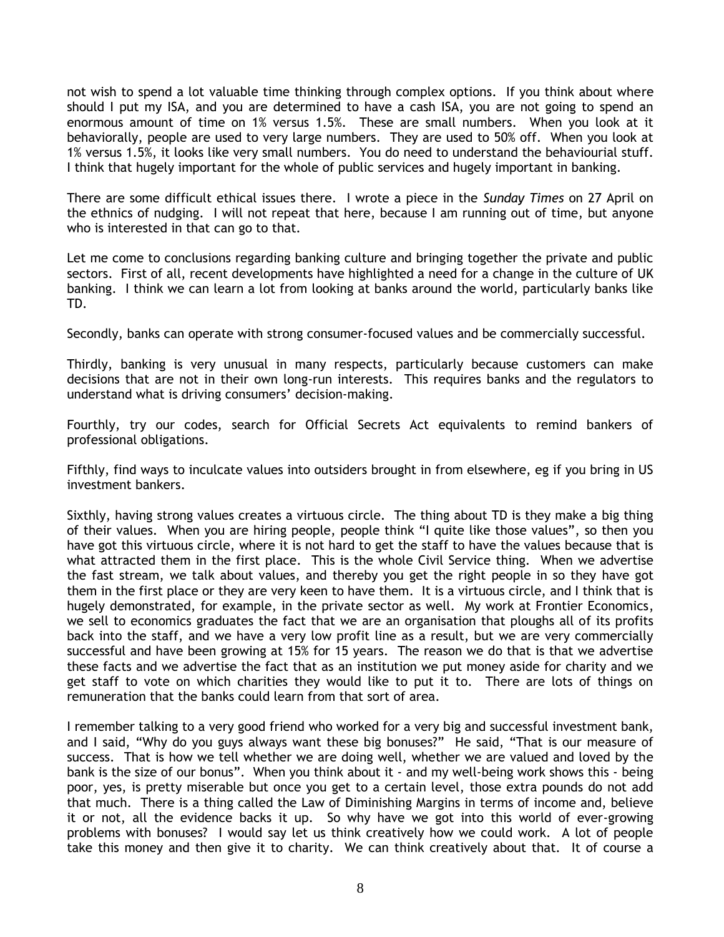not wish to spend a lot valuable time thinking through complex options. If you think about where should I put my ISA, and you are determined to have a cash ISA, you are not going to spend an enormous amount of time on 1% versus 1.5%. These are small numbers. When you look at it behaviorally, people are used to very large numbers. They are used to 50% off. When you look at 1% versus 1.5%, it looks like very small numbers. You do need to understand the behaviourial stuff. I think that hugely important for the whole of public services and hugely important in banking.

There are some difficult ethical issues there. I wrote a piece in the *Sunday Times* on 27 April on the ethnics of nudging. I will not repeat that here, because I am running out of time, but anyone who is interested in that can go to that.

Let me come to conclusions regarding banking culture and bringing together the private and public sectors. First of all, recent developments have highlighted a need for a change in the culture of UK banking. I think we can learn a lot from looking at banks around the world, particularly banks like TD.

Secondly, banks can operate with strong consumer-focused values and be commercially successful.

Thirdly, banking is very unusual in many respects, particularly because customers can make decisions that are not in their own long-run interests. This requires banks and the regulators to understand what is driving consumers' decision-making.

Fourthly, try our codes, search for Official Secrets Act equivalents to remind bankers of professional obligations.

Fifthly, find ways to inculcate values into outsiders brought in from elsewhere, eg if you bring in US investment bankers.

Sixthly, having strong values creates a virtuous circle. The thing about TD is they make a big thing of their values. When you are hiring people, people think "I quite like those values", so then you have got this virtuous circle, where it is not hard to get the staff to have the values because that is what attracted them in the first place. This is the whole Civil Service thing. When we advertise the fast stream, we talk about values, and thereby you get the right people in so they have got them in the first place or they are very keen to have them. It is a virtuous circle, and I think that is hugely demonstrated, for example, in the private sector as well. My work at Frontier Economics, we sell to economics graduates the fact that we are an organisation that ploughs all of its profits back into the staff, and we have a very low profit line as a result, but we are very commercially successful and have been growing at 15% for 15 years. The reason we do that is that we advertise these facts and we advertise the fact that as an institution we put money aside for charity and we get staff to vote on which charities they would like to put it to. There are lots of things on remuneration that the banks could learn from that sort of area.

I remember talking to a very good friend who worked for a very big and successful investment bank, and I said, "Why do you guys always want these big bonuses?" He said, "That is our measure of success. That is how we tell whether we are doing well, whether we are valued and loved by the bank is the size of our bonus". When you think about it - and my well-being work shows this - being poor, yes, is pretty miserable but once you get to a certain level, those extra pounds do not add that much. There is a thing called the Law of Diminishing Margins in terms of income and, believe it or not, all the evidence backs it up. So why have we got into this world of ever-growing problems with bonuses? I would say let us think creatively how we could work. A lot of people take this money and then give it to charity. We can think creatively about that. It of course a